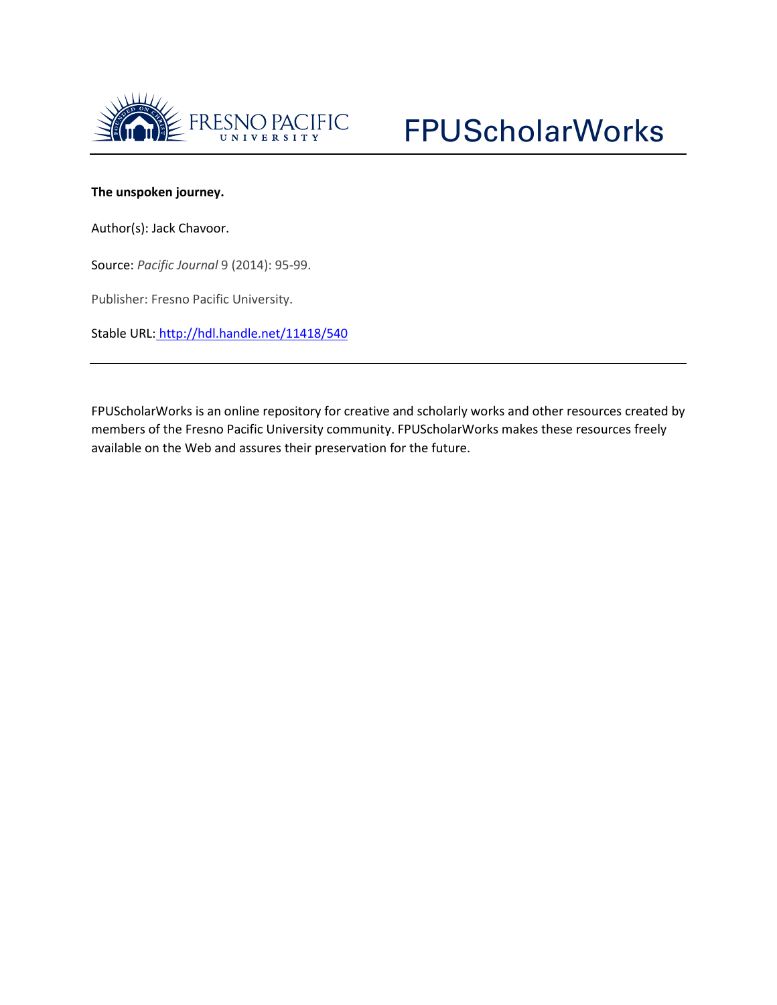

## **The unspoken journey.**

Author(s): Jack Chavoor.

Source: *Pacific Journal* 9 (2014): 95-99.

Publisher: Fresno Pacific University.

Stable URL: <http://hdl.handle.net/11418/540>

FPUScholarWorks is an online repository for creative and scholarly works and other resources created by members of the Fresno Pacific University community. FPUScholarWorks makes these resources freely available on the Web and assures their preservation for the future.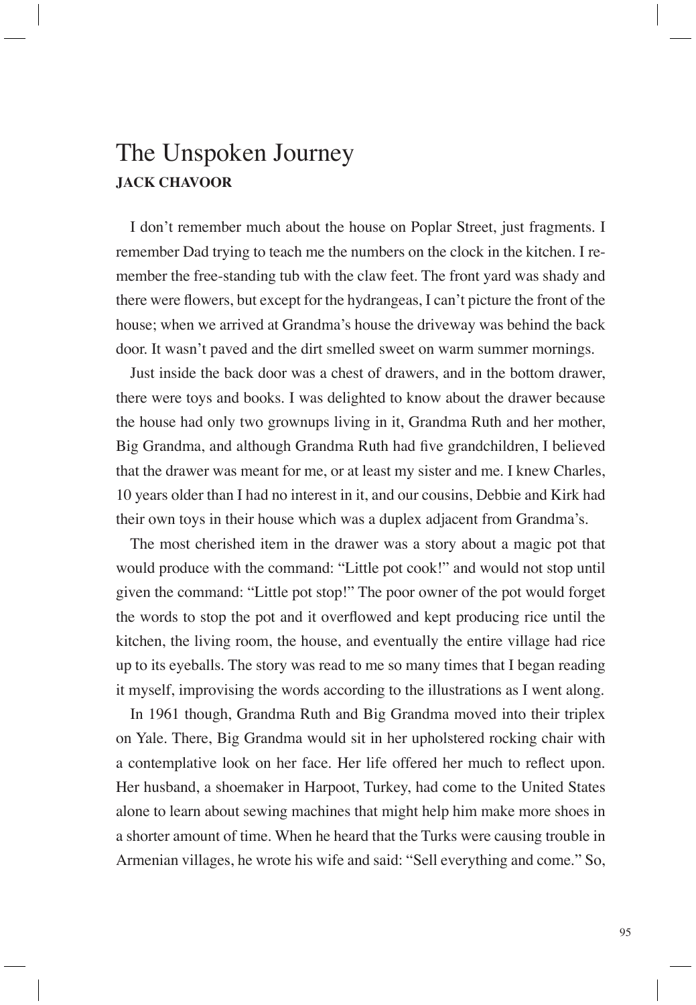## The Unspoken Journey **JACK CHAVOOR**

I don't remember much about the house on Poplar Street, just fragments. I remember Dad trying to teach me the numbers on the clock in the kitchen. I remember the free-standing tub with the claw feet. The front yard was shady and there were flowers, but except for the hydrangeas, I can't picture the front of the house; when we arrived at Grandma's house the driveway was behind the back door. It wasn't paved and the dirt smelled sweet on warm summer mornings.

Just inside the back door was a chest of drawers, and in the bottom drawer, there were toys and books. I was delighted to know about the drawer because the house had only two grownups living in it, Grandma Ruth and her mother, Big Grandma, and although Grandma Ruth had five grandchildren, I believed that the drawer was meant for me, or at least my sister and me. I knew Charles, 10 years older than I had no interest in it, and our cousins, Debbie and Kirk had their own toys in their house which was a duplex adjacent from Grandma's.

The most cherished item in the drawer was a story about a magic pot that would produce with the command: "Little pot cook!" and would not stop until given the command: "Little pot stop!" The poor owner of the pot would forget the words to stop the pot and it overflowed and kept producing rice until the kitchen, the living room, the house, and eventually the entire village had rice up to its eyeballs. The story was read to me so many times that I began reading it myself, improvising the words according to the illustrations as I went along.

In 1961 though, Grandma Ruth and Big Grandma moved into their triplex on Yale. There, Big Grandma would sit in her upholstered rocking chair with a contemplative look on her face. Her life offered her much to reflect upon. Her husband, a shoemaker in Harpoot, Turkey, had come to the United States alone to learn about sewing machines that might help him make more shoes in a shorter amount of time. When he heard that the Turks were causing trouble in Armenian villages, he wrote his wife and said: "Sell everything and come." So,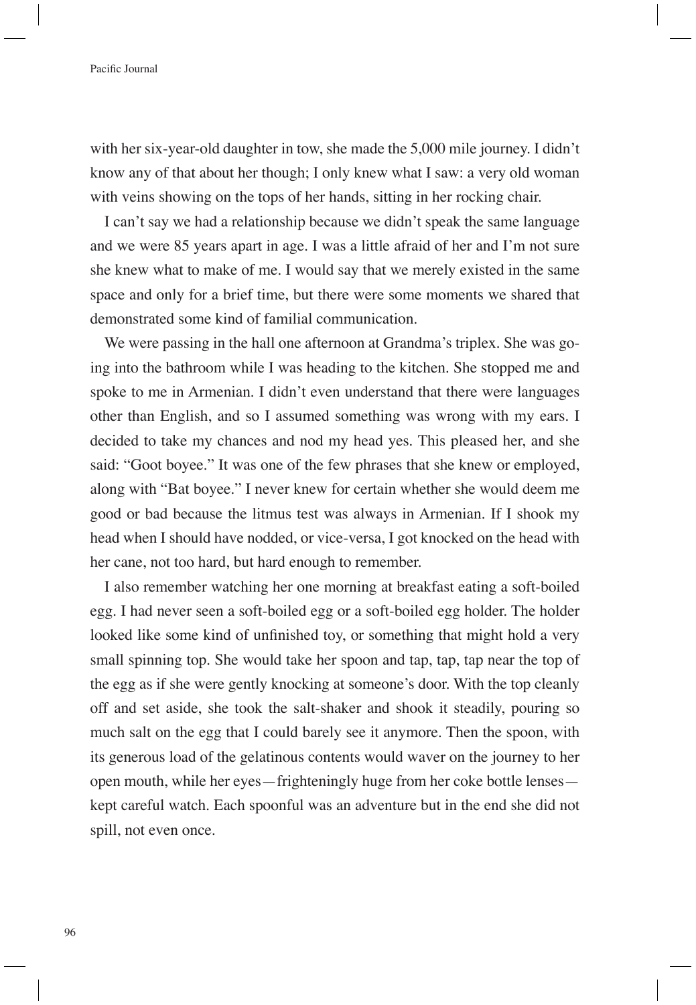## Pacific Journal

with her six-year-old daughter in tow, she made the 5,000 mile journey. I didn't know any of that about her though; I only knew what I saw: a very old woman with veins showing on the tops of her hands, sitting in her rocking chair.

I can't say we had a relationship because we didn't speak the same language and we were 85 years apart in age. I was a little afraid of her and I'm not sure she knew what to make of me. I would say that we merely existed in the same space and only for a brief time, but there were some moments we shared that demonstrated some kind of familial communication.

We were passing in the hall one afternoon at Grandma's triplex. She was going into the bathroom while I was heading to the kitchen. She stopped me and spoke to me in Armenian. I didn't even understand that there were languages other than English, and so I assumed something was wrong with my ears. I decided to take my chances and nod my head yes. This pleased her, and she said: "Goot boyee." It was one of the few phrases that she knew or employed, along with "Bat boyee." I never knew for certain whether she would deem me good or bad because the litmus test was always in Armenian. If I shook my head when I should have nodded, or vice-versa, I got knocked on the head with her cane, not too hard, but hard enough to remember.

I also remember watching her one morning at breakfast eating a soft-boiled egg. I had never seen a soft-boiled egg or a soft-boiled egg holder. The holder looked like some kind of unfinished toy, or something that might hold a very small spinning top. She would take her spoon and tap, tap, tap near the top of the egg as if she were gently knocking at someone's door. With the top cleanly off and set aside, she took the salt-shaker and shook it steadily, pouring so much salt on the egg that I could barely see it anymore. Then the spoon, with its generous load of the gelatinous contents would waver on the journey to her open mouth, while her eyes—frighteningly huge from her coke bottle lenses kept careful watch. Each spoonful was an adventure but in the end she did not spill, not even once.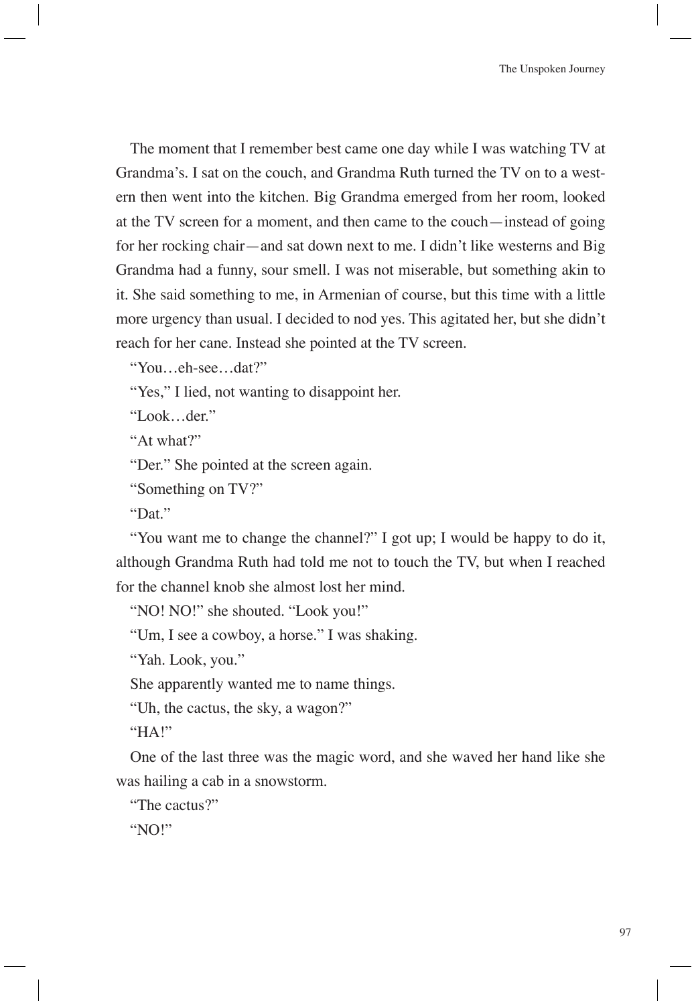The moment that I remember best came one day while I was watching TV at Grandma's. I sat on the couch, and Grandma Ruth turned the TV on to a western then went into the kitchen. Big Grandma emerged from her room, looked at the TV screen for a moment, and then came to the couch—instead of going for her rocking chair—and sat down next to me. I didn't like westerns and Big Grandma had a funny, sour smell. I was not miserable, but something akin to it. She said something to me, in Armenian of course, but this time with a little more urgency than usual. I decided to nod yes. This agitated her, but she didn't reach for her cane. Instead she pointed at the TV screen.

"You…eh-see…dat?"

"Yes," I lied, not wanting to disappoint her.

"Look…der."

"At what?"

"Der." She pointed at the screen again.

"Something on TV?"

"Dat."

"You want me to change the channel?" I got up; I would be happy to do it, although Grandma Ruth had told me not to touch the TV, but when I reached for the channel knob she almost lost her mind.

"NO! NO!" she shouted. "Look you!"

"Um, I see a cowboy, a horse." I was shaking.

"Yah. Look, you."

She apparently wanted me to name things.

"Uh, the cactus, the sky, a wagon?"

"HA!"

One of the last three was the magic word, and she waved her hand like she was hailing a cab in a snowstorm.

"The cactus?"

"NO!"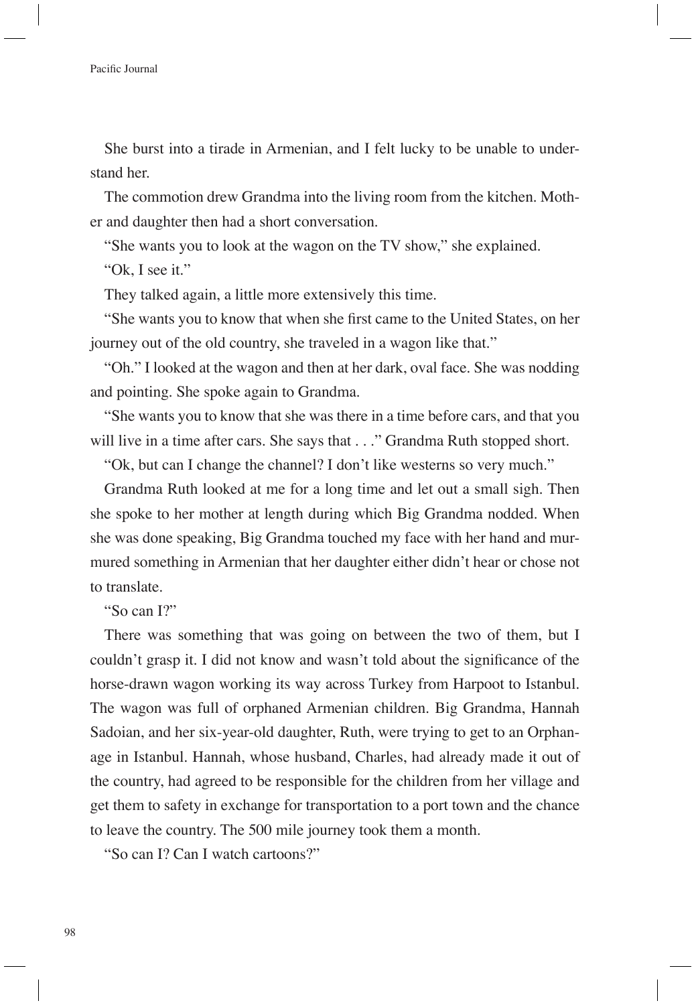She burst into a tirade in Armenian, and I felt lucky to be unable to understand her.

The commotion drew Grandma into the living room from the kitchen. Mother and daughter then had a short conversation.

"She wants you to look at the wagon on the TV show," she explained.

"Ok, I see it."

They talked again, a little more extensively this time.

"She wants you to know that when she first came to the United States, on her journey out of the old country, she traveled in a wagon like that."

"Oh." I looked at the wagon and then at her dark, oval face. She was nodding and pointing. She spoke again to Grandma.

"She wants you to know that she was there in a time before cars, and that you will live in a time after cars. She says that . . ." Grandma Ruth stopped short.

"Ok, but can I change the channel? I don't like westerns so very much."

Grandma Ruth looked at me for a long time and let out a small sigh. Then she spoke to her mother at length during which Big Grandma nodded. When she was done speaking, Big Grandma touched my face with her hand and murmured something in Armenian that her daughter either didn't hear or chose not to translate.

"So can I?"

There was something that was going on between the two of them, but I couldn't grasp it. I did not know and wasn't told about the significance of the horse-drawn wagon working its way across Turkey from Harpoot to Istanbul. The wagon was full of orphaned Armenian children. Big Grandma, Hannah Sadoian, and her six-year-old daughter, Ruth, were trying to get to an Orphanage in Istanbul. Hannah, whose husband, Charles, had already made it out of the country, had agreed to be responsible for the children from her village and get them to safety in exchange for transportation to a port town and the chance to leave the country. The 500 mile journey took them a month.

"So can I? Can I watch cartoons?"